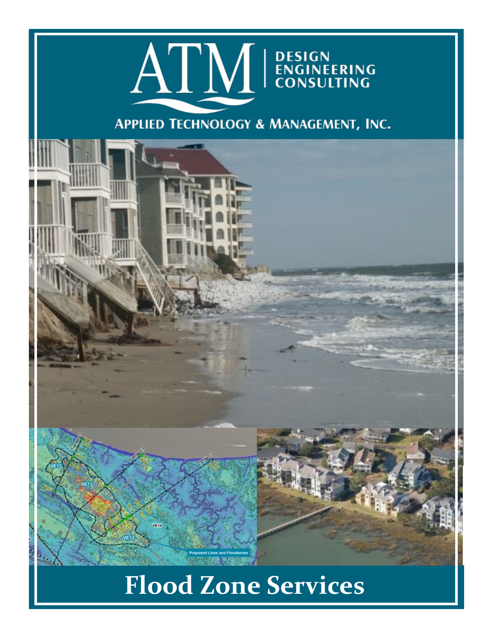

## **APPLIED TECHNOLOGY & MANAGEMENT, INC.**



# **Flood Zone Services**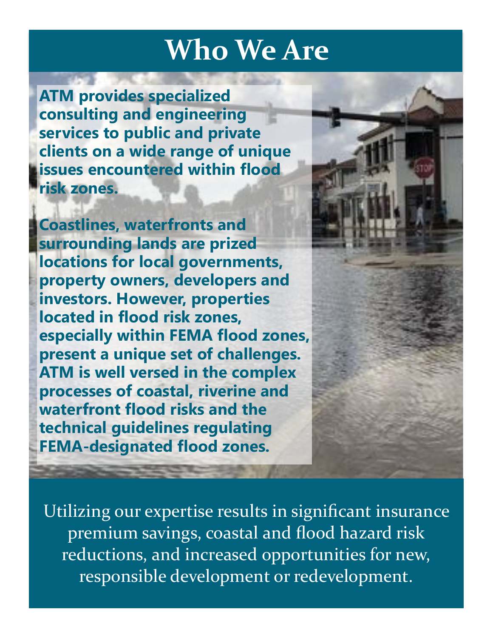## **Who We Are**

**ATM provides specialized consulting and engineering services to public and private clients on a wide range of unique issues encountered within flood risk zones.** 

**Coastlines, waterfronts and surrounding lands are prized locations for local governments, property owners, developers and investors. However, properties located in flood risk zones, especially within FEMA flood zones, present a unique set of challenges. ATM is well versed in the complex processes of coastal, riverine and waterfront flood risks and the technical guidelines regulating FEMA-designated flood zones.**



Utilizing our expertise results in signifcant insurance premium savings, coastal and flood hazard risk reductions, and increased opportunities for new, responsible development or redevelopment.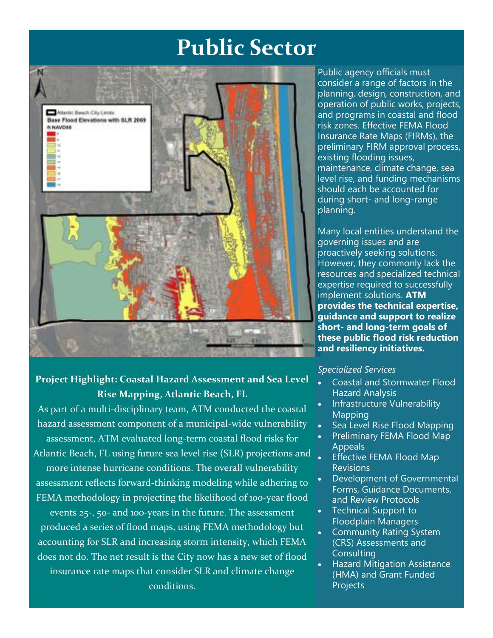## **Public Sector**



## **Project Highlight: Coastal Hazard Assessment and Sea Level Rise Mapping, Atlantic Beach, FL**

As part of a multi-disciplinary team, ATM conducted the coastal hazard assessment component of a municipal-wide vulnerability assessment, ATM evaluated long-term coastal flood risks for Atlantic Beach, FL using future sea level rise (SLR) projections and more intense hurricane conditions. The overall vulnerability assessment refects forward-thinking modeling while adhering to FEMA methodology in projecting the likelihood of 100-year flood events 25-, 50- and 100-years in the future. The assessment produced a series of flood maps, using FEMA methodology but accounting for SLR and increasing storm intensity, which FEMA does not do. The net result is the City now has a new set of flood insurance rate maps that consider SLR and climate change conditions.

Public agency officials must consider a range of factors in the planning, design, construction, and operation of public works, projects, and programs in coastal and flood risk zones. Effective FEMA Flood Insurance Rate Maps (FIRMs), the preliminary FIRM approval process, existing flooding issues, maintenance, climate change, sea level rise, and funding mechanisms should each be accounted for during short- and long-range planning.

Many local entities understand the governing issues and are proactively seeking solutions. However, they commonly lack the resources and specialized technical expertise required to successfully implement solutions. **ATM provides the technical expertise, guidance and support to realize short- and long-term goals of these public flood risk reduction and resiliency initiatives.**

- Coastal and Stormwater Flood Hazard Analysis
- Infrastructure Vulnerability Mapping
- Sea Level Rise Flood Mapping
- Preliminary FEMA Flood Map Appeals
- Effective FEMA Flood Map Revisions
- Development of Governmental Forms, Guidance Documents, and Review Protocols
- Technical Support to Floodplain Managers
- Community Rating System (CRS) Assessments and **Consulting**
- Hazard Mitigation Assistance (HMA) and Grant Funded **Projects**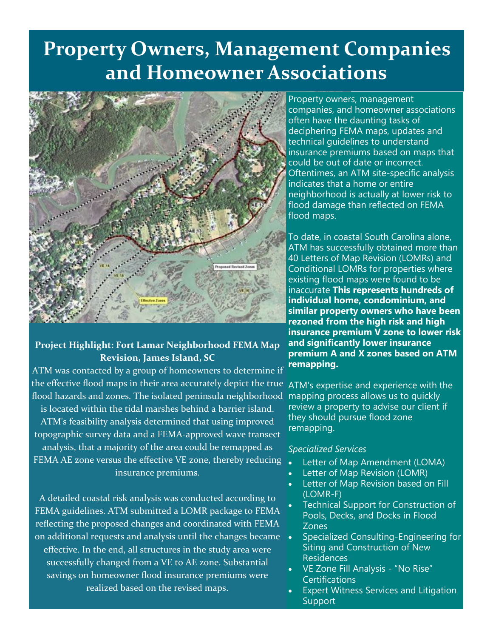## **Property Owners, Management Companies and Homeowner Associations**



#### **Project Highlight: Fort Lamar Neighborhood FEMA Map Revision, James Island, SC**

ATM was contacted by a group of homeowners to determine if the efective food maps in their area accurately depict the true ATM's expertise and experience with the flood hazards and zones. The isolated peninsula neighborhood mapping process allows us to quickly is located within the tidal marshes behind a barrier island. ATM's feasibility analysis determined that using improved topographic survey data and a FEMA-approved wave transect analysis, that a majority of the area could be remapped as

FEMA AE zone versus the effective VE zone, thereby reducing insurance premiums.

A detailed coastal risk analysis was conducted according to FEMA guidelines. ATM submitted a LOMR package to FEMA refecting the proposed changes and coordinated with FEMA on additional requests and analysis until the changes became efective. In the end, all structures in the study area were successfully changed from a VE to AE zone. Substantial savings on homeowner flood insurance premiums were realized based on the revised maps.

Property owners, management companies, and homeowner associations often have the daunting tasks of deciphering FEMA maps, updates and technical guidelines to understand insurance premiums based on maps that could be out of date or incorrect. Oftentimes, an ATM site-specific analysis indicates that a home or entire neighborhood is actually at lower risk to flood damage than reflected on FEMA flood maps.

To date, in coastal South Carolina alone, ATM has successfully obtained more than 40 Letters of Map Revision (LOMRs) and Conditional LOMRs for properties where existing flood maps were found to be inaccurate **This represents hundreds of individual home, condominium, and similar property owners who have been rezoned from the high risk and high insurance premium V zone to lower risk and significantly lower insurance premium A and X zones based on ATM remapping.**

review a property to advise our client if they should pursue flood zone remapping.

- Letter of Map Amendment (LOMA)
- Letter of Map Revision (LOMR)
- Letter of Map Revision based on Fill (LOMR-F)
- Technical Support for Construction of Pools, Decks, and Docks in Flood Zones
- Specialized Consulting-Engineering for Siting and Construction of New Residences
- VE Zone Fill Analysis "No Rise" **Certifications**
- Expert Witness Services and Litigation **Support**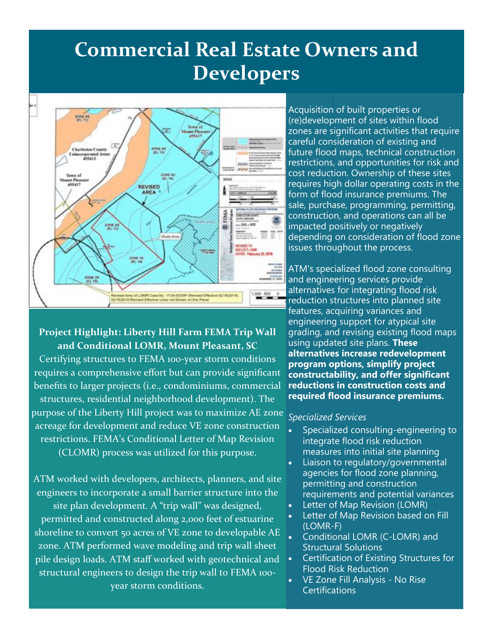## **Commercial Real Estate Owners and Developers**



**Project Highlight: Liberty Hill Farm FEMA Trip Wall and Conditional LOMR, Mount Pleasant, SC** 

Certifying structures to FEMA 100-year storm conditions requires a comprehensive effort but can provide significant benefts to larger projects (i.e., condominiums, commercial structures, residential neighborhood development). The purpose of the Liberty Hill project was to maximize AE zone acreage for development and reduce VE zone construction restrictions. FEMA's Conditional Letter of Map Revision (CLOMR) process was utilized for this purpose.

ATM worked with developers, architects, planners, and site engineers to incorporate a small barrier structure into the site plan development. A "trip wall" was designed, permitted and constructed along 2,000 feet of estuarine shoreline to convert 50 acres of VE zone to developable AE zone. ATM performed wave modeling and trip wall sheet pile design loads. ATM staff worked with geotechnical and structural engineers to design the trip wall to FEMA 100 year storm conditions.

Acquisition of built properties or (re)development of sites within flood zones are significant activities that require careful consideration of existing and future flood maps, technical construction restrictions, and opportunities for risk and cost reduction. Ownership of these sites requires high dollar operating costs in the form of flood insurance premiums. The sale, purchase, programming, permitting, construction, and operations can all be impacted positively or negatively depending on consideration of flood zone issues throughout the process.

ATM's specialized flood zone consulting and engineering services provide alternatives for integrating flood risk reduction structures into planned site features, acquiring variances and engineering support for atypical site grading, and revising existing flood maps using updated site plans. **These alternatives increase redevelopment program options, simplify project constructability, and offer significant reductions in construction costs and required flood insurance premiums.**

- Specialized consulting-engineering to integrate flood risk reduction measures into initial site planning
- Liaison to regulatory/governmental agencies for flood zone planning, permitting and construction requirements and potential variances
- Letter of Map Revision (LOMR)
- Letter of Map Revision based on Fill (LOMR-F)
- Conditional LOMR (C-LOMR) and Structural Solutions
- Certification of Existing Structures for Flood Risk Reduction
- VE Zone Fill Analysis No Rise **Certifications**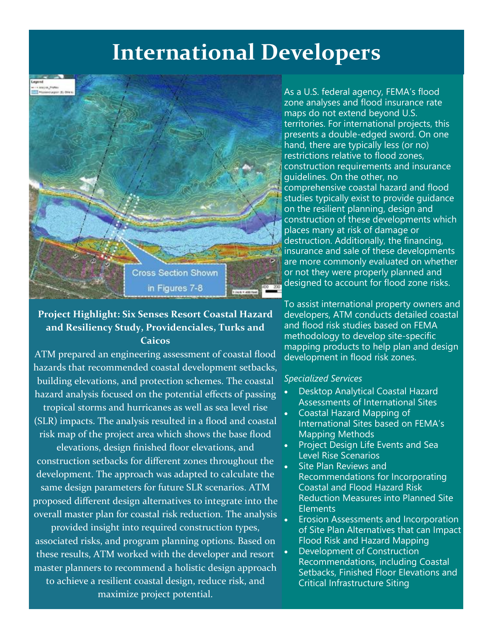## **International Developers**





### **Project Highlight: Six Senses Resort Coastal Hazard and Resiliency Study, Providenciales, Turks and Caicos**

ATM prepared an engineering assessment of coastal flood hazards that recommended coastal development setbacks, building elevations, and protection schemes. The coastal hazard analysis focused on the potential effects of passing tropical storms and hurricanes as well as sea level rise (SLR) impacts. The analysis resulted in a flood and coastal

risk map of the project area which shows the base flood elevations, design finished floor elevations, and

construction setbacks for diferent zones throughout the development. The approach was adapted to calculate the same design parameters for future SLR scenarios. ATM proposed diferent design alternatives to integrate into the overall master plan for coastal risk reduction. The analysis

provided insight into required construction types, associated risks, and program planning options. Based on these results, ATM worked with the developer and resort master planners to recommend a holistic design approach to achieve a resilient coastal design, reduce risk, and maximize project potential.

As a U.S. federal agency, FEMA's flood zone analyses and flood insurance rate maps do not extend beyond U.S. territories. For international projects, this presents a double-edged sword. On one hand, there are typically less (or no) restrictions relative to flood zones, construction requirements and insurance guidelines. On the other, no comprehensive coastal hazard and flood studies typically exist to provide guidance on the resilient planning, design and construction of these developments which places many at risk of damage or destruction. Additionally, the financing, insurance and sale of these developments are more commonly evaluated on whether or not they were properly planned and designed to account for flood zone risks.

To assist international property owners and developers, ATM conducts detailed coastal and flood risk studies based on FEMA methodology to develop site-specific mapping products to help plan and design development in flood risk zones.

- Desktop Analytical Coastal Hazard Assessments of International Sites
- Coastal Hazard Mapping of International Sites based on FEMA's Mapping Methods
- Project Design Life Events and Sea Level Rise Scenarios
- Site Plan Reviews and Recommendations for Incorporating Coastal and Flood Hazard Risk Reduction Measures into Planned Site Elements
- Erosion Assessments and Incorporation of Site Plan Alternatives that can Impact Flood Risk and Hazard Mapping
- Development of Construction Recommendations, including Coastal Setbacks, Finished Floor Elevations and Critical Infrastructure Siting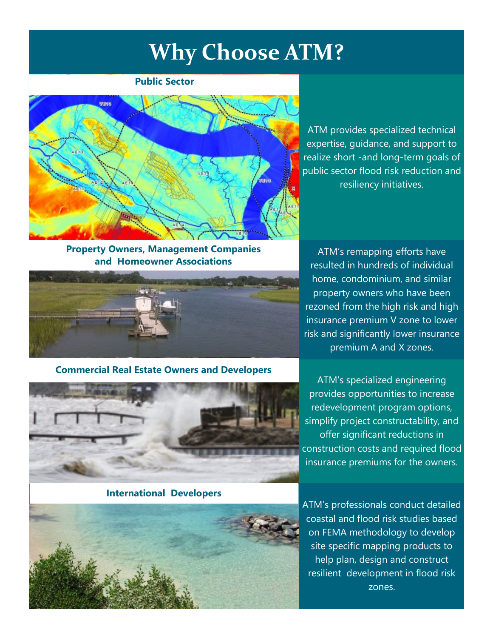## **Why Choose ATM?**

#### **Public Sector**



ATM provides specialized technical expertise, guidance, and support to realize short -and long-term goals of public sector flood risk reduction and resiliency initiatives.

**Property Owners, Management Companies and Homeowner Associations**



**Commercial Real Estate Owners and Developers**



**International Developers**



ATM's remapping efforts have resulted in hundreds of individual home, condominium, and similar property owners who have been rezoned from the high risk and high insurance premium V zone to lower risk and significantly lower insurance premium A and X zones.

ATM's specialized engineering provides opportunities to increase redevelopment program options, simplify project constructability, and offer significant reductions in construction costs and required flood insurance premiums for the owners.

ATM's professionals conduct detailed coastal and flood risk studies based on FEMA methodology to develop site specific mapping products to help plan, design and construct resilient development in flood risk zones.